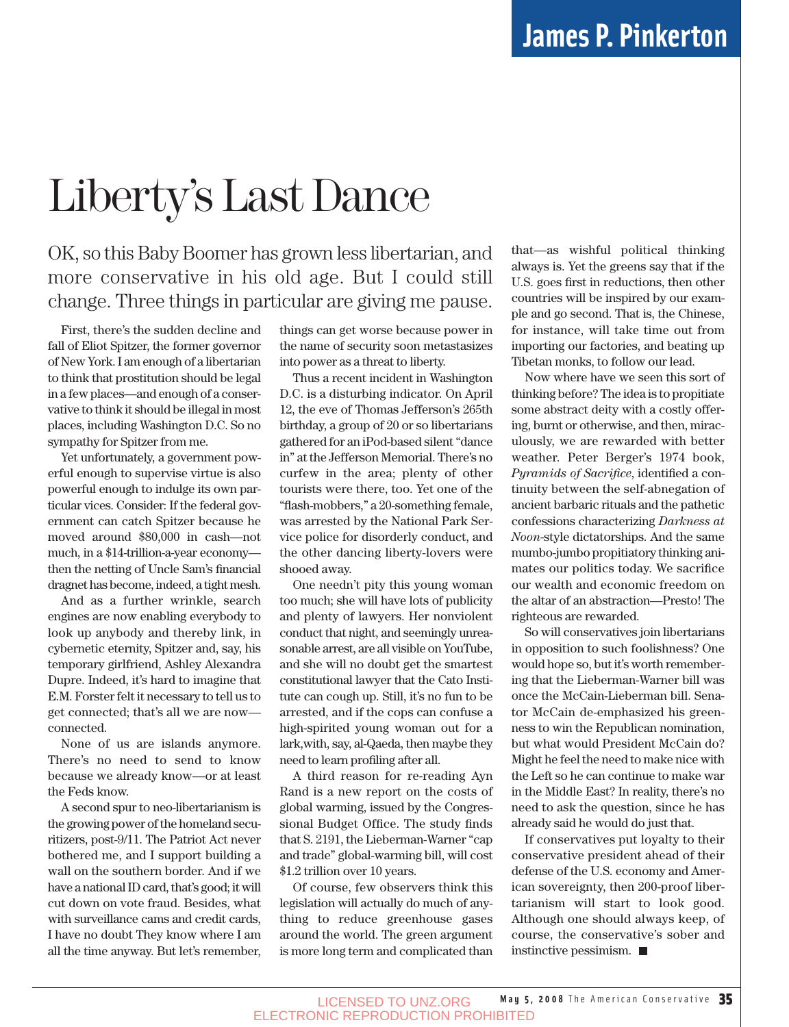## Liberty's Last Dance

#### OK, so this Baby Boomer has grown less libertarian, and more conservative in his old age. But I could still change. Three things in particular are giving me pause.

First, there's the sudden decline and fall of Eliot Spitzer, the former governor of New York. I am enough of a libertarian to think that prostitution should be legal in a few places—and enough of a conservative to think it should be illegal in most places, including Washington D.C. So no sympathy for Spitzer from me.

Yet unfortunately, a government powerful enough to supervise virtue is also powerful enough to indulge its own particular vices. Consider: If the federal government can catch Spitzer because he moved around \$80,000 in cash—not much, in a \$14-trillion-a-year economy then the netting of Uncle Sam's financial dragnet has become, indeed, a tight mesh.

And as a further wrinkle, search engines are now enabling everybody to look up anybody and thereby link, in cybernetic eternity, Spitzer and, say, his temporary girlfriend, Ashley Alexandra Dupre. Indeed, it's hard to imagine that E.M. Forster felt it necessary to tell us to get connected; that's all we are now connected.

None of us are islands anymore. There's no need to send to know because we already know—or at least the Feds know.

A second spur to neo-libertarianism is the growing power of the homeland securitizers, post-9/11. The Patriot Act never bothered me, and I support building a wall on the southern border. And if we have a national ID card, that's good; it will cut down on vote fraud. Besides, what with surveillance cams and credit cards, I have no doubt They know where I am all the time anyway. But let's remember, things can get worse because power in the name of security soon metastasizes into power as a threat to liberty.

Thus a recent incident in Washington D.C. is a disturbing indicator. On April 12, the eve of Thomas Jefferson's 265th birthday, a group of 20 or so libertarians gathered for an iPod-based silent "dance in" at the Jefferson Memorial. There's no curfew in the area; plenty of other tourists were there, too. Yet one of the "flash-mobbers," a 20-something female, was arrested by the National Park Service police for disorderly conduct, and the other dancing liberty-lovers were shooed away.

One needn't pity this young woman too much; she will have lots of publicity and plenty of lawyers. Her nonviolent conduct that night, and seemingly unreasonable arrest, are all visible on YouTube, and she will no doubt get the smartest constitutional lawyer that the Cato Institute can cough up. Still, it's no fun to be arrested, and if the cops can confuse a high-spirited young woman out for a lark,with, say, al-Qaeda, then maybe they need to learn profiling after all.

A third reason for re-reading Ayn Rand is a new report on the costs of global warming, issued by the Congressional Budget Office. The study finds that S. 2191, the Lieberman-Warner "cap and trade" global-warming bill, will cost \$1.2 trillion over 10 years.

Of course, few observers think this legislation will actually do much of anything to reduce greenhouse gases around the world. The green argument is more long term and complicated than that—as wishful political thinking always is. Yet the greens say that if the U.S. goes first in reductions, then other countries will be inspired by our example and go second. That is, the Chinese, for instance, will take time out from importing our factories, and beating up Tibetan monks, to follow our lead.

Now where have we seen this sort of thinking before? The idea is to propitiate some abstract deity with a costly offering, burnt or otherwise, and then, miraculously, we are rewarded with better weather. Peter Berger's 1974 book, *Pyramids of Sacrifice*, identified a continuity between the self-abnegation of ancient barbaric rituals and the pathetic confessions characterizing *Darkness at Noon*-style dictatorships. And the same mumbo-jumbo propitiatory thinking animates our politics today. We sacrifice our wealth and economic freedom on the altar of an abstraction—Presto! The righteous are rewarded.

So will conservatives join libertarians in opposition to such foolishness? One would hope so, but it's worth remembering that the Lieberman-Warner bill was once the McCain-Lieberman bill. Senator McCain de-emphasized his greenness to win the Republican nomination, but what would President McCain do? Might he feel the need to make nice with the Left so he can continue to make war in the Middle East? In reality, there's no need to ask the question, since he has already said he would do just that.

If conservatives put loyalty to their conservative president ahead of their defense of the U.S. economy and American sovereignty, then 200-proof libertarianism will start to look good. Although one should always keep, of course, the conservative's sober and instinctive pessimism.